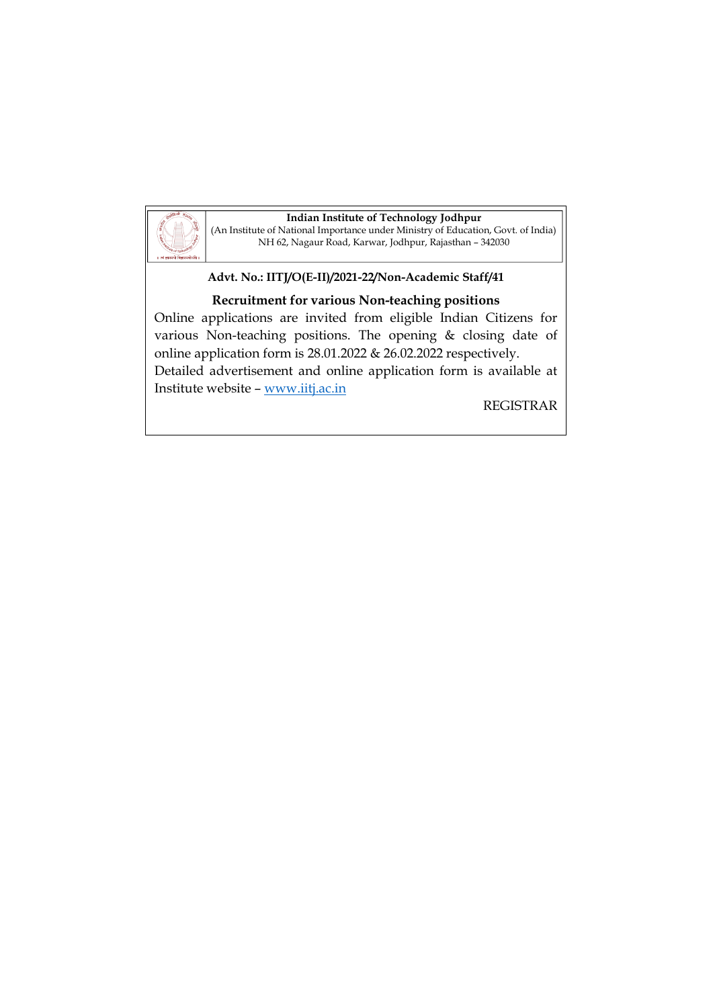

**Indian Institute of Technology Jodhpur** (An Institute of National Importance under Ministry of Education, Govt. of India) NH 62, Nagaur Road, Karwar, Jodhpur, Rajasthan – 342030

## **Advt. No.: IITJ/O(E-II)/2021-22/Non-Academic Staff/41**

# **Recruitment for various Non-teaching positions**

Online applications are invited from eligible Indian Citizens for various Non-teaching positions. The opening & closing date of online application form is 28.01.2022 & 26.02.2022 respectively. Detailed advertisement and online application form is available at Institute website – [www.iitj.ac.in](http://www.iitj.ac.in/)

REGISTRAR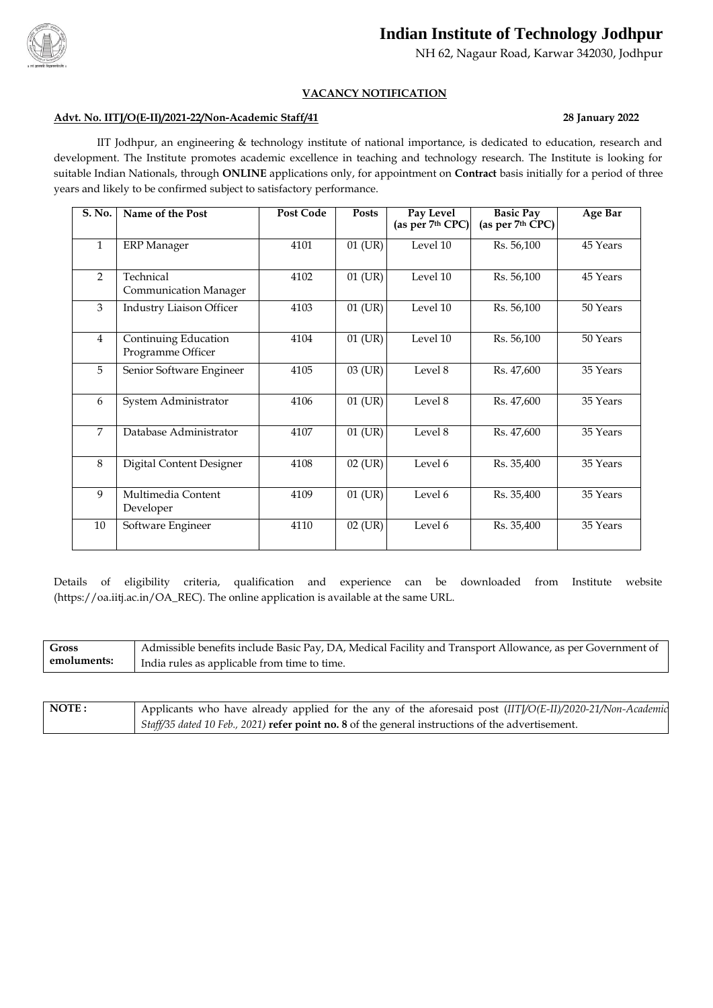

# **Indian Institute of Technology Jodhpur**

NH 62, Nagaur Road, Karwar 342030, Jodhpur

### **VACANCY NOTIFICATION**

#### **Advt. No. IITJ/O(E-II)/2021-22/Non-Academic Staff/41 28 January 2022**

IIT Jodhpur, an engineering & technology institute of national importance, is dedicated to education, research and development. The Institute promotes academic excellence in teaching and technology research. The Institute is looking for suitable Indian Nationals, through **ONLINE** applications only, for appointment on **Contract** basis initially for a period of three years and likely to be confirmed subject to satisfactory performance.

| S. No.         | Name of the Post                          | <b>Post Code</b> | <b>Posts</b> | Pay Level<br>(as per 7th CPC) | <b>Basic Pay</b><br>(as per 7 <sup>th</sup> CPC) | <b>Age Bar</b> |
|----------------|-------------------------------------------|------------------|--------------|-------------------------------|--------------------------------------------------|----------------|
| $\mathbf{1}$   | <b>ERP</b> Manager                        | 4101             | 01 (UR)      | Level 10                      | Rs. 56,100                                       | 45 Years       |
| $\overline{2}$ | Technical<br><b>Communication Manager</b> | 4102             | 01 (UR)      | Level 10                      | Rs. 56,100                                       | 45 Years       |
| 3              | <b>Industry Liaison Officer</b>           | 4103             | 01 (UR)      | Level 10                      | Rs. 56,100                                       | 50 Years       |
| $\overline{4}$ | Continuing Education<br>Programme Officer | 4104             | 01 (UR)      | Level 10                      | Rs. 56,100                                       | 50 Years       |
| 5              | Senior Software Engineer                  | 4105             | 03 (UR)      | Level 8                       | Rs. 47,600                                       | 35 Years       |
| 6              | System Administrator                      | 4106             | 01 (UR)      | Level 8                       | Rs. 47,600                                       | 35 Years       |
| $\overline{7}$ | Database Administrator                    | 4107             | $01$ (UR)    | Level 8                       | Rs. 47,600                                       | 35 Years       |
| 8              | Digital Content Designer                  | 4108             | $02$ (UR)    | Level 6                       | Rs. 35,400                                       | 35 Years       |
| 9              | Multimedia Content<br>Developer           | 4109             | 01 (UR)      | Level 6                       | Rs. 35,400                                       | 35 Years       |
| 10             | Software Engineer                         | 4110             | 02 (UR)      | Level 6                       | Rs. 35,400                                       | 35 Years       |

Details of eligibility criteria, qualification and experience can be downloaded from Institute website (https://oa.iitj.ac.in[/OA\\_REC\)](http://www.iitj.ac.in:8080/OA_REC). The online application is available at the same URL.

| <b>Gross</b> | Admissible benefits include Basic Pay, DA, Medical Facility and Transport Allowance, as per Government of |
|--------------|-----------------------------------------------------------------------------------------------------------|
| emoluments:  | India rules as applicable from time to time.                                                              |

| NOTE: | Applicants who have already applied for the any of the aforesaid post (IITJ/O(E-II)/2020-21/Non-Academic |
|-------|----------------------------------------------------------------------------------------------------------|
|       | Staff/35 dated 10 Feb., 2021) <b>refer point no. 8</b> of the general instructions of the advertisement. |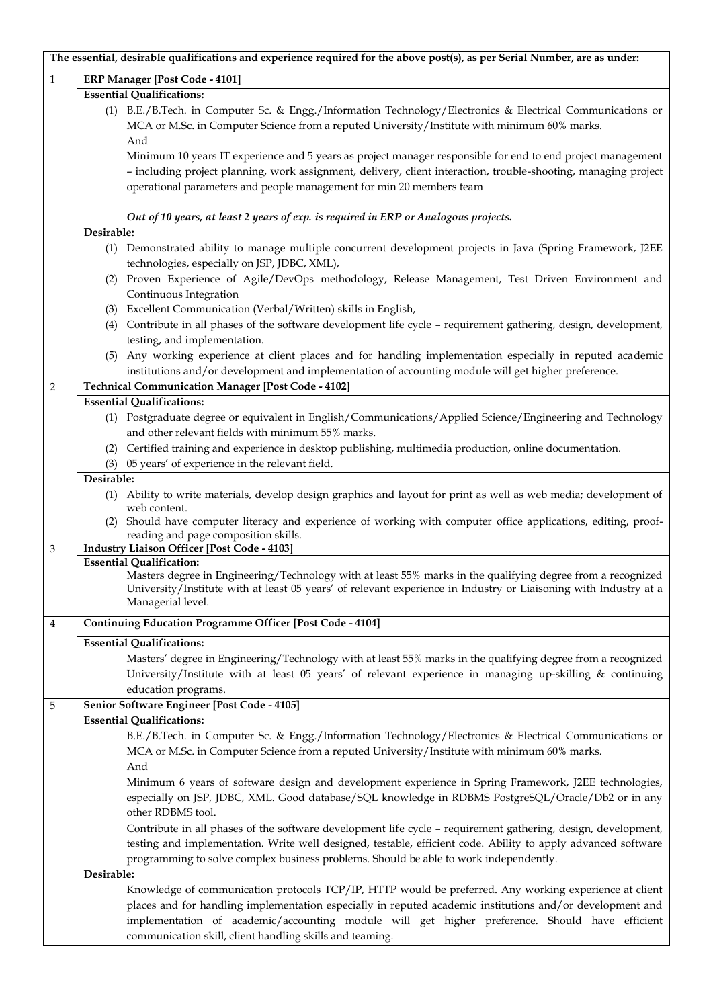|              |            | The essential, desirable qualifications and experience required for the above post(s), as per Serial Number, are as under:                                                                                                                                                                                              |
|--------------|------------|-------------------------------------------------------------------------------------------------------------------------------------------------------------------------------------------------------------------------------------------------------------------------------------------------------------------------|
| $\mathbf{1}$ |            | <b>ERP Manager [Post Code - 4101]</b>                                                                                                                                                                                                                                                                                   |
|              |            | <b>Essential Qualifications:</b>                                                                                                                                                                                                                                                                                        |
|              |            | (1) B.E./B.Tech. in Computer Sc. & Engg./Information Technology/Electronics & Electrical Communications or<br>MCA or M.Sc. in Computer Science from a reputed University/Institute with minimum 60% marks.<br>And                                                                                                       |
|              |            | Minimum 10 years IT experience and 5 years as project manager responsible for end to end project management<br>- including project planning, work assignment, delivery, client interaction, trouble-shooting, managing project<br>operational parameters and people management for min 20 members team                  |
|              |            | Out of 10 years, at least 2 years of exp. is required in ERP or Analogous projects.                                                                                                                                                                                                                                     |
|              | Desirable: |                                                                                                                                                                                                                                                                                                                         |
|              |            | (1) Demonstrated ability to manage multiple concurrent development projects in Java (Spring Framework, J2EE<br>technologies, especially on JSP, JDBC, XML),                                                                                                                                                             |
|              |            | (2) Proven Experience of Agile/DevOps methodology, Release Management, Test Driven Environment and<br>Continuous Integration                                                                                                                                                                                            |
|              |            | (3) Excellent Communication (Verbal/Written) skills in English,                                                                                                                                                                                                                                                         |
|              | (4)        | Contribute in all phases of the software development life cycle - requirement gathering, design, development,<br>testing, and implementation.                                                                                                                                                                           |
|              | (5)        | Any working experience at client places and for handling implementation especially in reputed academic<br>institutions and/or development and implementation of accounting module will get higher preference.                                                                                                           |
| 2            |            | <b>Technical Communication Manager [Post Code - 4102]</b>                                                                                                                                                                                                                                                               |
|              |            | <b>Essential Qualifications:</b>                                                                                                                                                                                                                                                                                        |
|              |            | (1) Postgraduate degree or equivalent in English/Communications/Applied Science/Engineering and Technology                                                                                                                                                                                                              |
|              |            | and other relevant fields with minimum 55% marks.                                                                                                                                                                                                                                                                       |
|              | (2)        | Certified training and experience in desktop publishing, multimedia production, online documentation.                                                                                                                                                                                                                   |
|              |            | (3) 05 years' of experience in the relevant field.                                                                                                                                                                                                                                                                      |
|              | Desirable: |                                                                                                                                                                                                                                                                                                                         |
|              |            | (1) Ability to write materials, develop design graphics and layout for print as well as web media; development of<br>web content.                                                                                                                                                                                       |
|              | (2)        | Should have computer literacy and experience of working with computer office applications, editing, proof-<br>reading and page composition skills.                                                                                                                                                                      |
| $\,3$        |            | <b>Industry Liaison Officer [Post Code - 4103]</b>                                                                                                                                                                                                                                                                      |
|              |            | <b>Essential Qualification:</b><br>Masters degree in Engineering/Technology with at least 55% marks in the qualifying degree from a recognized<br>University/Institute with at least 05 years' of relevant experience in Industry or Liaisoning with Industry at a<br>Managerial level.                                 |
| 4            |            | <b>Continuing Education Programme Officer [Post Code - 4104]</b>                                                                                                                                                                                                                                                        |
|              |            | <b>Essential Qualifications:</b>                                                                                                                                                                                                                                                                                        |
|              |            | Masters' degree in Engineering/Technology with at least 55% marks in the qualifying degree from a recognized<br>University/Institute with at least 05 years' of relevant experience in managing up-skilling & continuing<br>education programs.                                                                         |
| 5            |            | Senior Software Engineer [Post Code - 4105]                                                                                                                                                                                                                                                                             |
|              |            | <b>Essential Qualifications:</b>                                                                                                                                                                                                                                                                                        |
|              |            | B.E./B.Tech. in Computer Sc. & Engg./Information Technology/Electronics & Electrical Communications or<br>MCA or M.Sc. in Computer Science from a reputed University/Institute with minimum 60% marks.<br>And                                                                                                           |
|              |            | Minimum 6 years of software design and development experience in Spring Framework, J2EE technologies,<br>especially on JSP, JDBC, XML. Good database/SQL knowledge in RDBMS PostgreSQL/Oracle/Db2 or in any<br>other RDBMS tool.                                                                                        |
|              |            | Contribute in all phases of the software development life cycle - requirement gathering, design, development,<br>testing and implementation. Write well designed, testable, efficient code. Ability to apply advanced software<br>programming to solve complex business problems. Should be able to work independently. |
|              | Desirable: |                                                                                                                                                                                                                                                                                                                         |
|              |            | Knowledge of communication protocols TCP/IP, HTTP would be preferred. Any working experience at client                                                                                                                                                                                                                  |
|              |            | places and for handling implementation especially in reputed academic institutions and/or development and<br>implementation of academic/accounting module will get higher preference. Should have efficient                                                                                                             |
|              |            | communication skill, client handling skills and teaming.                                                                                                                                                                                                                                                                |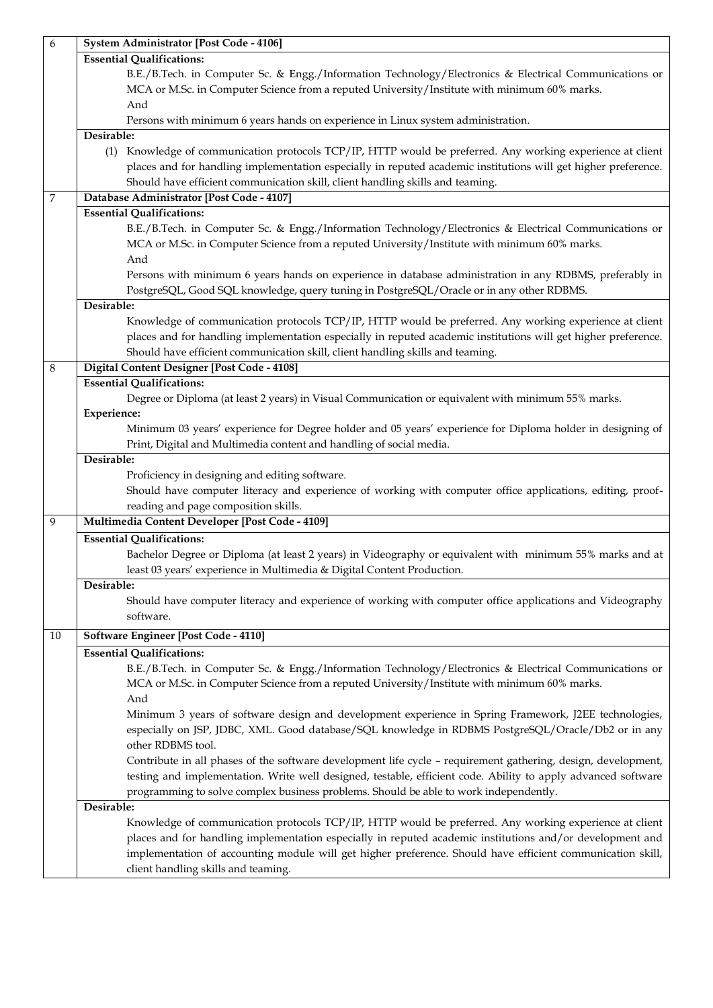| 6  | <b>System Administrator [Post Code - 4106]</b>                                                                 |
|----|----------------------------------------------------------------------------------------------------------------|
|    | <b>Essential Qualifications:</b>                                                                               |
|    | B.E./B.Tech. in Computer Sc. & Engg./Information Technology/Electronics & Electrical Communications or         |
|    | MCA or M.Sc. in Computer Science from a reputed University/Institute with minimum 60% marks.                   |
|    | And                                                                                                            |
|    | Persons with minimum 6 years hands on experience in Linux system administration.                               |
|    | Desirable:                                                                                                     |
|    | (1) Knowledge of communication protocols TCP/IP, HTTP would be preferred. Any working experience at client     |
|    | places and for handling implementation especially in reputed academic institutions will get higher preference. |
|    | Should have efficient communication skill, client handling skills and teaming.                                 |
| 7  | Database Administrator [Post Code - 4107]                                                                      |
|    | <b>Essential Qualifications:</b>                                                                               |
|    | B.E./B.Tech. in Computer Sc. & Engg./Information Technology/Electronics & Electrical Communications or         |
|    | MCA or M.Sc. in Computer Science from a reputed University/Institute with minimum 60% marks.                   |
|    | And                                                                                                            |
|    |                                                                                                                |
|    | Persons with minimum 6 years hands on experience in database administration in any RDBMS, preferably in        |
|    | PostgreSQL, Good SQL knowledge, query tuning in PostgreSQL/Oracle or in any other RDBMS.                       |
|    | Desirable:                                                                                                     |
|    | Knowledge of communication protocols TCP/IP, HTTP would be preferred. Any working experience at client         |
|    | places and for handling implementation especially in reputed academic institutions will get higher preference. |
|    | Should have efficient communication skill, client handling skills and teaming.                                 |
| 8  | Digital Content Designer [Post Code - 4108]                                                                    |
|    | <b>Essential Qualifications:</b>                                                                               |
|    | Degree or Diploma (at least 2 years) in Visual Communication or equivalent with minimum 55% marks.             |
|    | <b>Experience:</b>                                                                                             |
|    | Minimum 03 years' experience for Degree holder and 05 years' experience for Diploma holder in designing of     |
|    | Print, Digital and Multimedia content and handling of social media.                                            |
|    | Desirable:                                                                                                     |
|    | Proficiency in designing and editing software.                                                                 |
|    | Should have computer literacy and experience of working with computer office applications, editing, proof-     |
|    | reading and page composition skills.                                                                           |
| 9  | Multimedia Content Developer [Post Code - 4109]                                                                |
|    | <b>Essential Qualifications:</b>                                                                               |
|    | Bachelor Degree or Diploma (at least 2 years) in Videography or equivalent with minimum 55% marks and at       |
|    | least 03 years' experience in Multimedia & Digital Content Production.                                         |
|    | Desirable:                                                                                                     |
|    | Should have computer literacy and experience of working with computer office applications and Videography      |
|    | software.                                                                                                      |
| 10 | <b>Software Engineer [Post Code - 4110]</b>                                                                    |
|    | <b>Essential Qualifications:</b>                                                                               |
|    |                                                                                                                |
|    | B.E./B.Tech. in Computer Sc. & Engg./Information Technology/Electronics & Electrical Communications or         |
|    | MCA or M.Sc. in Computer Science from a reputed University/Institute with minimum 60% marks.                   |
|    | And                                                                                                            |
|    | Minimum 3 years of software design and development experience in Spring Framework, J2EE technologies,          |
|    | especially on JSP, JDBC, XML. Good database/SQL knowledge in RDBMS PostgreSQL/Oracle/Db2 or in any             |
|    | other RDBMS tool.                                                                                              |
|    | Contribute in all phases of the software development life cycle - requirement gathering, design, development,  |
|    | testing and implementation. Write well designed, testable, efficient code. Ability to apply advanced software  |
|    | programming to solve complex business problems. Should be able to work independently.                          |
|    | Desirable:                                                                                                     |
|    | Knowledge of communication protocols TCP/IP, HTTP would be preferred. Any working experience at client         |
|    | places and for handling implementation especially in reputed academic institutions and/or development and      |
|    | implementation of accounting module will get higher preference. Should have efficient communication skill,     |
|    | client handling skills and teaming.                                                                            |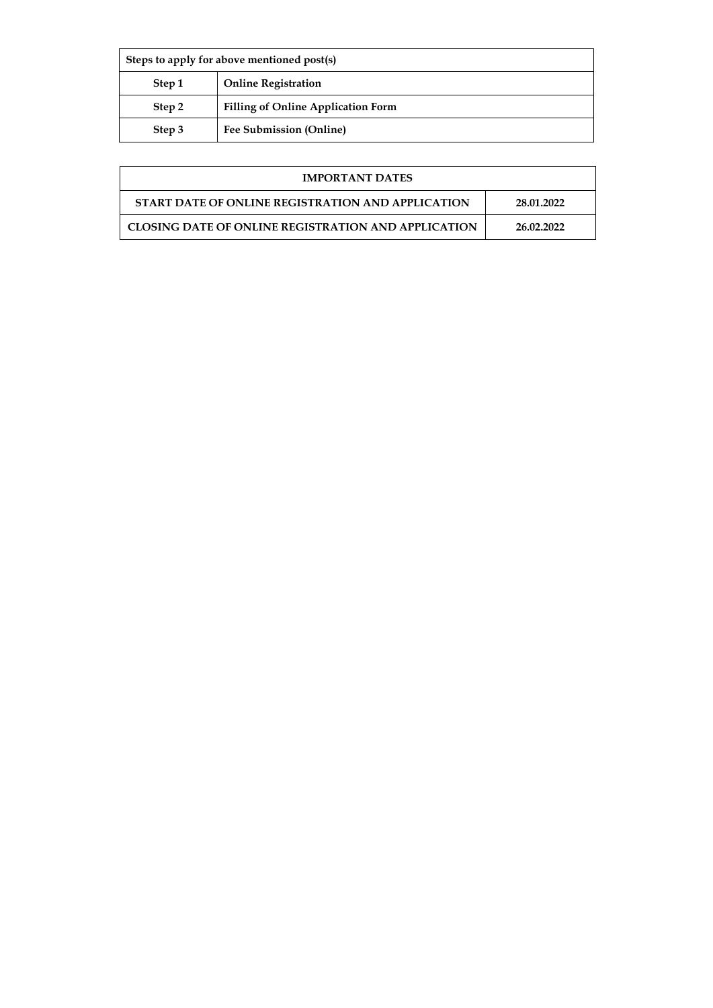| Steps to apply for above mentioned post(s) |                                           |  |
|--------------------------------------------|-------------------------------------------|--|
| Step 1                                     | <b>Online Registration</b>                |  |
| Step 2                                     | <b>Filling of Online Application Form</b> |  |
| Step 3                                     | Fee Submission (Online)                   |  |

| <b>IMPORTANT DATES</b>                                     |            |
|------------------------------------------------------------|------------|
| START DATE OF ONLINE REGISTRATION AND APPLICATION          | 28.01.2022 |
| <b>CLOSING DATE OF ONLINE REGISTRATION AND APPLICATION</b> | 26.02.2022 |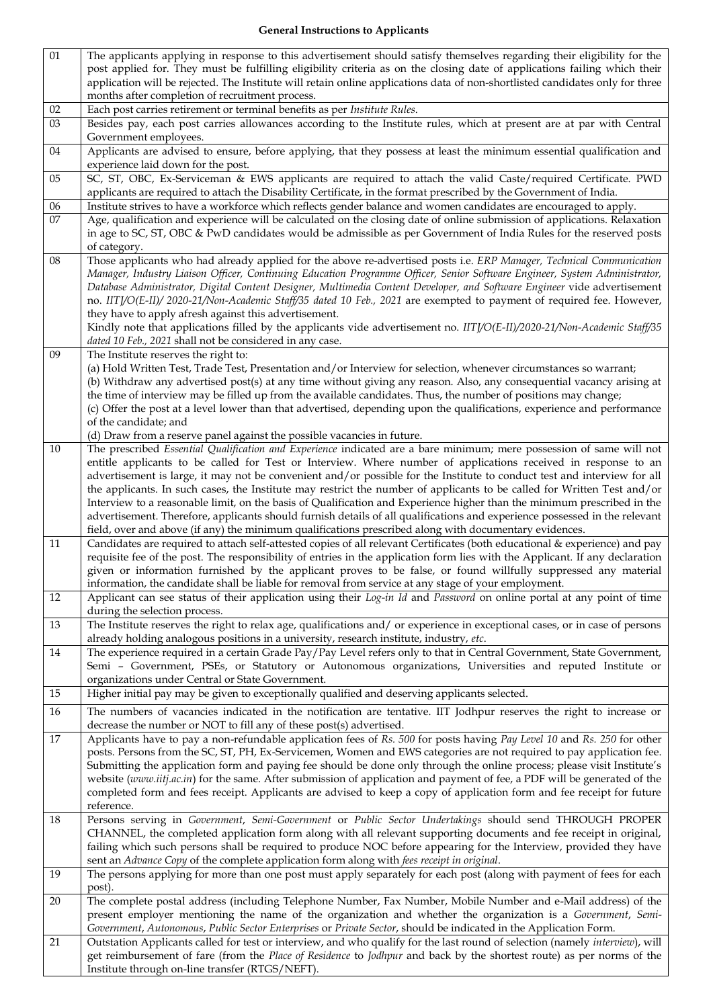| 01              | The applicants applying in response to this advertisement should satisfy themselves regarding their eligibility for the                                                                                                                             |
|-----------------|-----------------------------------------------------------------------------------------------------------------------------------------------------------------------------------------------------------------------------------------------------|
|                 | post applied for. They must be fulfilling eligibility criteria as on the closing date of applications failing which their                                                                                                                           |
|                 | application will be rejected. The Institute will retain online applications data of non-shortlisted candidates only for three<br>months after completion of recruitment process.                                                                    |
| $02\,$          | Each post carries retirement or terminal benefits as per Institute Rules.                                                                                                                                                                           |
| $03\,$          | Besides pay, each post carries allowances according to the Institute rules, which at present are at par with Central                                                                                                                                |
|                 | Government employees.                                                                                                                                                                                                                               |
| 04              | Applicants are advised to ensure, before applying, that they possess at least the minimum essential qualification and                                                                                                                               |
|                 | experience laid down for the post.                                                                                                                                                                                                                  |
| 05              | SC, ST, OBC, Ex-Serviceman & EWS applicants are required to attach the valid Caste/required Certificate. PWD<br>applicants are required to attach the Disability Certificate, in the format prescribed by the Government of India.                  |
| $06$            | Institute strives to have a workforce which reflects gender balance and women candidates are encouraged to apply.                                                                                                                                   |
| $\overline{07}$ | Age, qualification and experience will be calculated on the closing date of online submission of applications. Relaxation                                                                                                                           |
|                 | in age to SC, ST, OBC & PwD candidates would be admissible as per Government of India Rules for the reserved posts<br>of category.                                                                                                                  |
| ${\bf 08}$      | Those applicants who had already applied for the above re-advertised posts i.e. ERP Manager, Technical Communication                                                                                                                                |
|                 | Manager, Industry Liaison Officer, Continuing Education Programme Officer, Senior Software Engineer, System Administrator,                                                                                                                          |
|                 | Database Administrator, Digital Content Designer, Multimedia Content Developer, and Software Engineer vide advertisement                                                                                                                            |
|                 | no. IITJ/O(E-II)/ 2020-21/Non-Academic Staff/35 dated 10 Feb., 2021 are exempted to payment of required fee. However,                                                                                                                               |
|                 | they have to apply afresh against this advertisement.<br>Kindly note that applications filled by the applicants vide advertisement no. IITJ/O(E-II)/2020-21/Non-Academic Staff/35                                                                   |
|                 | dated 10 Feb., 2021 shall not be considered in any case.                                                                                                                                                                                            |
| 09              | The Institute reserves the right to:                                                                                                                                                                                                                |
|                 | (a) Hold Written Test, Trade Test, Presentation and/or Interview for selection, whenever circumstances so warrant;                                                                                                                                  |
|                 | (b) Withdraw any advertised post(s) at any time without giving any reason. Also, any consequential vacancy arising at                                                                                                                               |
|                 | the time of interview may be filled up from the available candidates. Thus, the number of positions may change;<br>(c) Offer the post at a level lower than that advertised, depending upon the qualifications, experience and performance          |
|                 | of the candidate; and                                                                                                                                                                                                                               |
|                 | (d) Draw from a reserve panel against the possible vacancies in future.                                                                                                                                                                             |
| 10              | The prescribed Essential Qualification and Experience indicated are a bare minimum; mere possession of same will not                                                                                                                                |
|                 | entitle applicants to be called for Test or Interview. Where number of applications received in response to an                                                                                                                                      |
|                 | advertisement is large, it may not be convenient and/or possible for the Institute to conduct test and interview for all<br>the applicants. In such cases, the Institute may restrict the number of applicants to be called for Written Test and/or |
|                 | Interview to a reasonable limit, on the basis of Qualification and Experience higher than the minimum prescribed in the                                                                                                                             |
|                 | advertisement. Therefore, applicants should furnish details of all qualifications and experience possessed in the relevant                                                                                                                          |
|                 | field, over and above (if any) the minimum qualifications prescribed along with documentary evidences.                                                                                                                                              |
| 11              | Candidates are required to attach self-attested copies of all relevant Certificates (both educational & experience) and pay                                                                                                                         |
|                 | requisite fee of the post. The responsibility of entries in the application form lies with the Applicant. If any declaration<br>given or information furnished by the applicant proves to be false, or found willfully suppressed any material      |
|                 | information, the candidate shall be liable for removal from service at any stage of your employment.                                                                                                                                                |
| $12\,$          | Applicant can see status of their application using their Log-in Id and Password on online portal at any point of time                                                                                                                              |
|                 | during the selection process.                                                                                                                                                                                                                       |
| 13              | The Institute reserves the right to relax age, qualifications and/ or experience in exceptional cases, or in case of persons                                                                                                                        |
|                 | already holding analogous positions in a university, research institute, industry, etc.                                                                                                                                                             |
| 14              | The experience required in a certain Grade Pay/Pay Level refers only to that in Central Government, State Government,<br>Semi - Government, PSEs, or Statutory or Autonomous organizations, Universities and reputed Institute or                   |
|                 | organizations under Central or State Government.                                                                                                                                                                                                    |
| 15              | Higher initial pay may be given to exceptionally qualified and deserving applicants selected.                                                                                                                                                       |
| 16              | The numbers of vacancies indicated in the notification are tentative. IIT Jodhpur reserves the right to increase or                                                                                                                                 |
| $17\,$          | decrease the number or NOT to fill any of these post(s) advertised.<br>Applicants have to pay a non-refundable application fees of Rs. 500 for posts having Pay Level 10 and Rs. 250 for other                                                      |
|                 | posts. Persons from the SC, ST, PH, Ex-Servicemen, Women and EWS categories are not required to pay application fee.                                                                                                                                |
|                 | Submitting the application form and paying fee should be done only through the online process; please visit Institute's                                                                                                                             |
|                 | website (www.iitj.ac.in) for the same. After submission of application and payment of fee, a PDF will be generated of the                                                                                                                           |
|                 | completed form and fees receipt. Applicants are advised to keep a copy of application form and fee receipt for future                                                                                                                               |
| 18              | reference.<br>Persons serving in Government, Semi-Government or Public Sector Undertakings should send THROUGH PROPER                                                                                                                               |
|                 | CHANNEL, the completed application form along with all relevant supporting documents and fee receipt in original,                                                                                                                                   |
|                 | failing which such persons shall be required to produce NOC before appearing for the Interview, provided they have                                                                                                                                  |
|                 | sent an Advance Copy of the complete application form along with fees receipt in original.                                                                                                                                                          |
| 19              | The persons applying for more than one post must apply separately for each post (along with payment of fees for each<br>post).                                                                                                                      |
| 20              | The complete postal address (including Telephone Number, Fax Number, Mobile Number and e-Mail address) of the                                                                                                                                       |
|                 | present employer mentioning the name of the organization and whether the organization is a Government, Semi-                                                                                                                                        |
| 21              | Government, Autonomous, Public Sector Enterprises or Private Sector, should be indicated in the Application Form.<br>Outstation Applicants called for test or interview, and who qualify for the last round of selection (namely interview), will   |
|                 |                                                                                                                                                                                                                                                     |
|                 | get reimbursement of fare (from the Place of Residence to Jodhpur and back by the shortest route) as per norms of the                                                                                                                               |